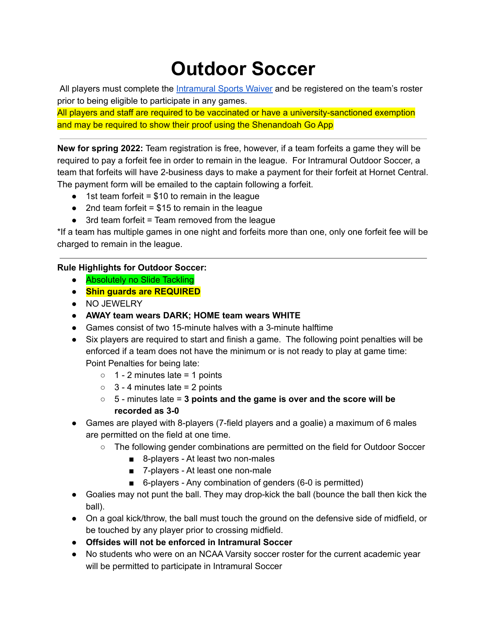## **Outdoor Soccer**

All players must complete the [Intramural](https://forms.gle/9AASWqyy6KAjumx86) Sports Waiver and be registered on the team's roster prior to being eligible to participate in any games.

All players and staff are required to be vaccinated or have a university-sanctioned exemption and may be required to show their proof using the Shenandoah Go App

**New for spring 2022:** Team registration is free, however, if a team forfeits a game they will be required to pay a forfeit fee in order to remain in the league. For Intramural Outdoor Soccer, a team that forfeits will have 2-business days to make a payment for their forfeit at Hornet Central. The payment form will be emailed to the captain following a forfeit.

- $\bullet$  1st team forfeit = \$10 to remain in the league
- $\bullet$  2nd team forfeit = \$15 to remain in the league
- $\bullet$  3rd team forfeit = Team removed from the league

\*If a team has multiple games in one night and forfeits more than one, only one forfeit fee will be charged to remain in the league.

## **Rule Highlights for Outdoor Soccer:**

- **Absolutely no Slide Tackling**
- **● Shin guards are REQUIRED**
- NO JEWELRY
- **● AWAY team wears DARK; HOME team wears WHITE**
- Games consist of two 15-minute halves with a 3-minute halftime
- Six players are required to start and finish a game. The following point penalties will be enforced if a team does not have the minimum or is not ready to play at game time: Point Penalties for being late:
	- $\circ$  1 2 minutes late = 1 points
	- $\circ$  3 4 minutes late = 2 points
	- 5 minutes late = **3 points and the game is over and the score will be recorded as 3-0**
- Games are played with 8-players (7-field players and a goalie) a maximum of 6 males are permitted on the field at one time.
	- The following gender combinations are permitted on the field for Outdoor Soccer
		- 8-players At least two non-males
		- 7-players At least one non-male
		- 6-players Any combination of genders (6-0 is permitted)
- Goalies may not punt the ball. They may drop-kick the ball (bounce the ball then kick the ball).
- On a goal kick/throw, the ball must touch the ground on the defensive side of midfield, or be touched by any player prior to crossing midfield.
- **● Offsides will not be enforced in Intramural Soccer**
- No students who were on an NCAA Varsity soccer roster for the current academic year will be permitted to participate in Intramural Soccer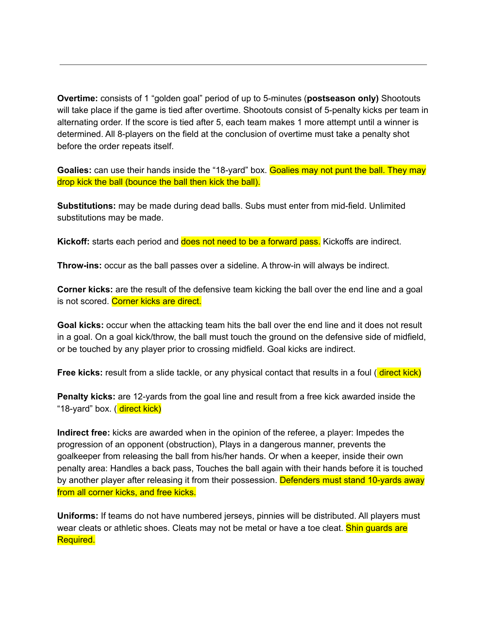**Overtime:** consists of 1 "golden goal" period of up to 5-minutes (**postseason only)** Shootouts will take place if the game is tied after overtime. Shootouts consist of 5-penalty kicks per team in alternating order. If the score is tied after 5, each team makes 1 more attempt until a winner is determined. All 8-players on the field at the conclusion of overtime must take a penalty shot before the order repeats itself.

**Goalies:** can use their hands inside the "18-yard" box. **Goalies may not punt the ball. They may** drop kick the ball (bounce the ball then kick the ball).

**Substitutions:** may be made during dead balls. Subs must enter from mid-field. Unlimited substitutions may be made.

**Kickoff:** starts each period and **does not need to be a forward pass.** Kickoffs are indirect.

**Throw-ins:** occur as the ball passes over a sideline. A throw-in will always be indirect.

**Corner kicks:** are the result of the defensive team kicking the ball over the end line and a goal is not scored. Corner kicks are direct.

**Goal kicks:** occur when the attacking team hits the ball over the end line and it does not result in a goal. On a goal kick/throw, the ball must touch the ground on the defensive side of midfield, or be touched by any player prior to crossing midfield. Goal kicks are indirect.

**Free kicks:** result from a slide tackle, or any physical contact that results in a foul (**direct kick**)

**Penalty kicks:** are 12-yards from the goal line and result from a free kick awarded inside the "18-yard" box. ( direct kick)

**Indirect free:** kicks are awarded when in the opinion of the referee, a player: Impedes the progression of an opponent (obstruction), Plays in a dangerous manner, prevents the goalkeeper from releasing the ball from his/her hands. Or when a keeper, inside their own penalty area: Handles a back pass, Touches the ball again with their hands before it is touched by another player after releasing it from their possession. Defenders must stand 10-yards away from all corner kicks, and free kicks.

**Uniforms:** If teams do not have numbered jerseys, pinnies will be distributed. All players must wear cleats or athletic shoes. Cleats may not be metal or have a toe cleat. Shin guards are Required.